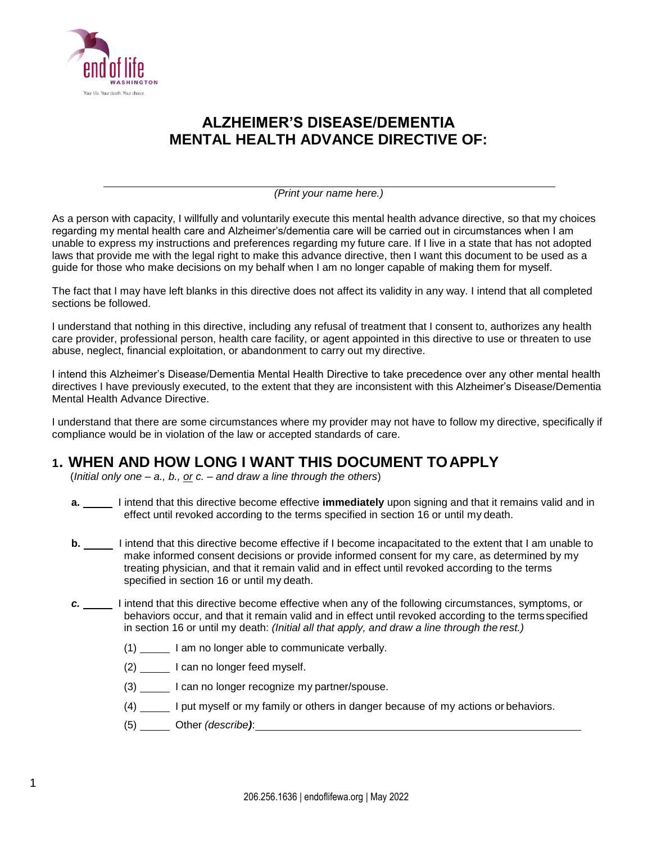

# **ALZHEIMER'S DISEASE/DEMENTIA MENTAL HEALTH ADVANCE DIRECTIVE OF:**

*(Print your name here.)*

As a person with capacity, I willfully and voluntarily execute this mental health advance directive, so that my choices regarding my mental health care and Alzheimer's/dementia care will be carried out in circumstances when I am unable to express my instructions and preferences regarding my future care. If I live in a state that has not adopted laws that provide me with the legal right to make this advance directive, then I want this document to be used as a guide for those who make decisions on my behalf when I am no longer capable of making them for myself.

The fact that I may have left blanks in this directive does not affect its validity in any way. I intend that all completed sections be followed.

I understand that nothing in this directive, including any refusal of treatment that I consent to, authorizes any health care provider, professional person, health care facility, or agent appointed in this directive to use or threaten to use abuse, neglect, financial exploitation, or abandonment to carry out my directive.

I intend this Alzheimer's Disease/Dementia Mental Health Directive to take precedence over any other mental health directives I have previously executed, to the extent that they are inconsistent with this Alzheimer's Disease/Dementia Mental Health Advance Directive.

I understand that there are some circumstances where my provider may not have to follow my directive, specifically if compliance would be in violation of the law or accepted standards of care.

### **1. WHEN AND HOW LONG I WANT THIS DOCUMENT TOAPPLY**

(*Initial only one – a., b., or c.* – *and draw a line through the others*)

- **a.** \_\_\_\_\_ I intend that this directive become effective *immediately* upon signing and that it remains valid and in effect until revoked according to the terms specified in section 16 or until my death.
- **b.** \_\_\_\_\_ I intend that this directive become effective if I become incapacitated to the extent that I am unable to make informed consent decisions or provide informed consent for my care, as determined by my treating physician, and that it remain valid and in effect until revoked according to the terms specified in section 16 or until my death.
- *c.* I intend that this directive become effective when any of the following circumstances, symptoms, or behaviors occur, and that it remain valid and in effect until revoked according to the terms specified in section 16 or until my death: *(Initial all that apply, and draw a line through the rest.)* 
	- (1) I am no longer able to communicate verbally.
	- (2)  $\frac{1}{2}$  I can no longer feed myself.
	- (3) I can no longer recognize my partner/spouse.
	- (4) \_\_\_\_\_ I put myself or my family or others in danger because of my actions or behaviors.
	- (5) Other *(describe)*: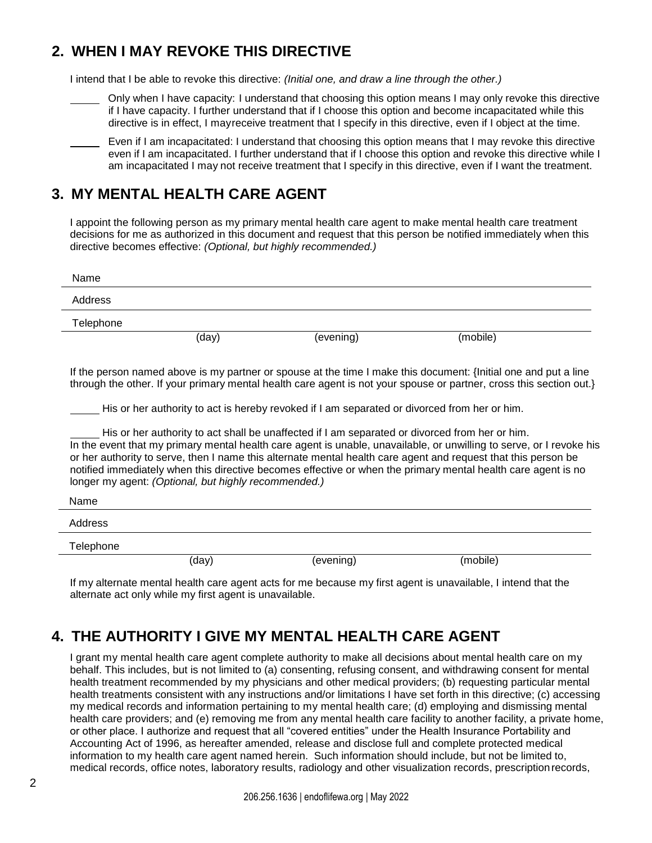# **2. WHEN I MAY REVOKE THIS DIRECTIVE**

I intend that I be able to revoke this directive: *(Initial one, and draw a line through the other.)*

- Only when I have capacity: I understand that choosing this option means I may only revoke this directive if I have capacity. I further understand that if I choose this option and become incapacitated while this directive is in effect, I mayreceive treatment that I specify in this directive, even if I object at the time.
	- Even if I am incapacitated: I understand that choosing this option means that I may revoke this directive even if I am incapacitated. I further understand that if I choose this option and revoke this directive while I am incapacitated I may not receive treatment that I specify in this directive, even if I want the treatment.

## **3. MY MENTAL HEALTH CARE AGENT**

I appoint the following person as my primary mental health care agent to make mental health care treatment decisions for me as authorized in this document and request that this person be notified immediately when this directive becomes effective: *(Optional, but highly recommended.)*

| Name      |                                                      |                                                                                                                                                                                                |                                                                                                                                                                                                                                                                                                                                                                                                                                                                                                                                                                                                   |  |
|-----------|------------------------------------------------------|------------------------------------------------------------------------------------------------------------------------------------------------------------------------------------------------|---------------------------------------------------------------------------------------------------------------------------------------------------------------------------------------------------------------------------------------------------------------------------------------------------------------------------------------------------------------------------------------------------------------------------------------------------------------------------------------------------------------------------------------------------------------------------------------------------|--|
| Address   |                                                      |                                                                                                                                                                                                |                                                                                                                                                                                                                                                                                                                                                                                                                                                                                                                                                                                                   |  |
| Telephone |                                                      |                                                                                                                                                                                                |                                                                                                                                                                                                                                                                                                                                                                                                                                                                                                                                                                                                   |  |
|           | (day)                                                | (evening)                                                                                                                                                                                      | (mobile)                                                                                                                                                                                                                                                                                                                                                                                                                                                                                                                                                                                          |  |
|           | longer my agent: (Optional, but highly recommended.) | His or her authority to act is hereby revoked if I am separated or divorced from her or him.<br>His or her authority to act shall be unaffected if I am separated or divorced from her or him. | If the person named above is my partner or spouse at the time I make this document: {Initial one and put a line<br>through the other. If your primary mental health care agent is not your spouse or partner, cross this section out.}<br>In the event that my primary mental health care agent is unable, unavailable, or unwilling to serve, or I revoke his<br>or her authority to serve, then I name this alternate mental health care agent and request that this person be<br>notified immediately when this directive becomes effective or when the primary mental health care agent is no |  |
| Name      |                                                      |                                                                                                                                                                                                |                                                                                                                                                                                                                                                                                                                                                                                                                                                                                                                                                                                                   |  |
| Address   |                                                      |                                                                                                                                                                                                |                                                                                                                                                                                                                                                                                                                                                                                                                                                                                                                                                                                                   |  |
| Telephone |                                                      |                                                                                                                                                                                                |                                                                                                                                                                                                                                                                                                                                                                                                                                                                                                                                                                                                   |  |
|           | (day)                                                | (evening)                                                                                                                                                                                      | (mobile)                                                                                                                                                                                                                                                                                                                                                                                                                                                                                                                                                                                          |  |

If my alternate mental health care agent acts for me because my first agent is unavailable, I intend that the alternate act only while my first agent is unavailable.

# **4. THE AUTHORITY I GIVE MY MENTAL HEALTH CARE AGENT**

I grant my mental health care agent complete authority to make all decisions about mental health care on my behalf. This includes, but is not limited to (a) consenting, refusing consent, and withdrawing consent for mental health treatment recommended by my physicians and other medical providers; (b) requesting particular mental health treatments consistent with any instructions and/or limitations I have set forth in this directive; (c) accessing my medical records and information pertaining to my mental health care; (d) employing and dismissing mental health care providers; and (e) removing me from any mental health care facility to another facility, a private home, or other place. I authorize and request that all "covered entities" under the Health Insurance Portability and Accounting Act of 1996, as hereafter amended, release and disclose full and complete protected medical information to my health care agent named herein. Such information should include, but not be limited to, medical records, office notes, laboratory results, radiology and other visualization records, prescriptionrecords,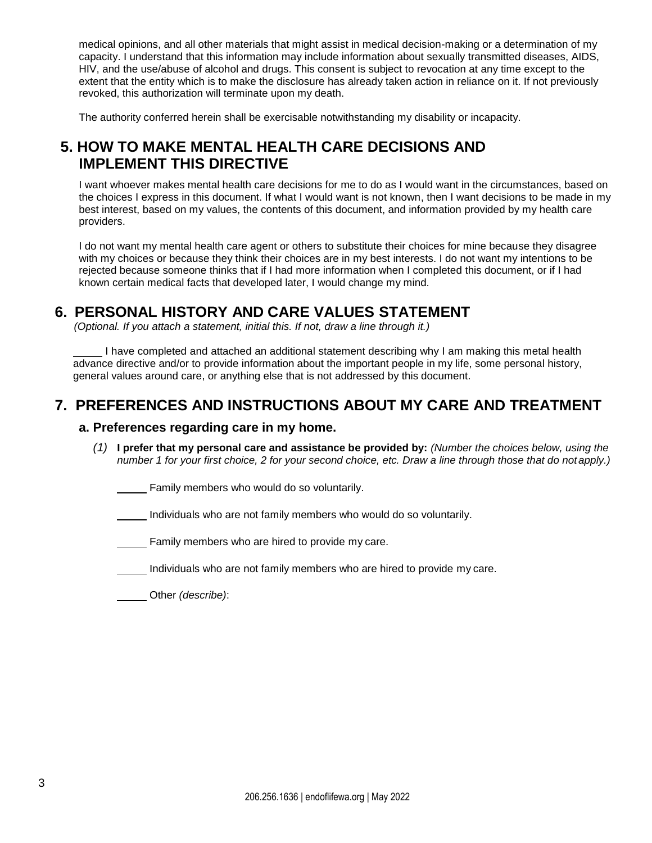medical opinions, and all other materials that might assist in medical decision-making or a determination of my capacity. I understand that this information may include information about sexually transmitted diseases, AIDS, HIV, and the use/abuse of alcohol and drugs. This consent is subject to revocation at any time except to the extent that the entity which is to make the disclosure has already taken action in reliance on it. If not previously revoked, this authorization will terminate upon my death.

The authority conferred herein shall be exercisable notwithstanding my disability or incapacity.

## **5. HOW TO MAKE MENTAL HEALTH CARE DECISIONS AND IMPLEMENT THIS DIRECTIVE**

I want whoever makes mental health care decisions for me to do as I would want in the circumstances, based on the choices I express in this document. If what I would want is not known, then I want decisions to be made in my best interest, based on my values, the contents of this document, and information provided by my health care providers.

I do not want my mental health care agent or others to substitute their choices for mine because they disagree with my choices or because they think their choices are in my best interests. I do not want my intentions to be rejected because someone thinks that if I had more information when I completed this document, or if I had known certain medical facts that developed later, I would change my mind.

### **6. PERSONAL HISTORY AND CARE VALUES STATEMENT**

*(Optional. If you attach a statement, initial this. If not, draw a line through it.)*

I have completed and attached an additional statement describing why I am making this metal health advance directive and/or to provide information about the important people in my life, some personal history, general values around care, or anything else that is not addressed by this document.

### **7. PREFERENCES AND INSTRUCTIONS ABOUT MY CARE AND TREATMENT**

#### **a. Preferences regarding care in my home.**

*(1)* **I prefer that my personal care and assistance be provided by:** *(Number the choices below, using the number 1 for your first choice, 2 for your second choice, etc. Draw a line through those that do notapply.)*

Family members who would do so voluntarily.

Individuals who are not family members who would do so voluntarily.

Family members who are hired to provide my care.

Individuals who are not family members who are hired to provide my care.

Other *(describe)*: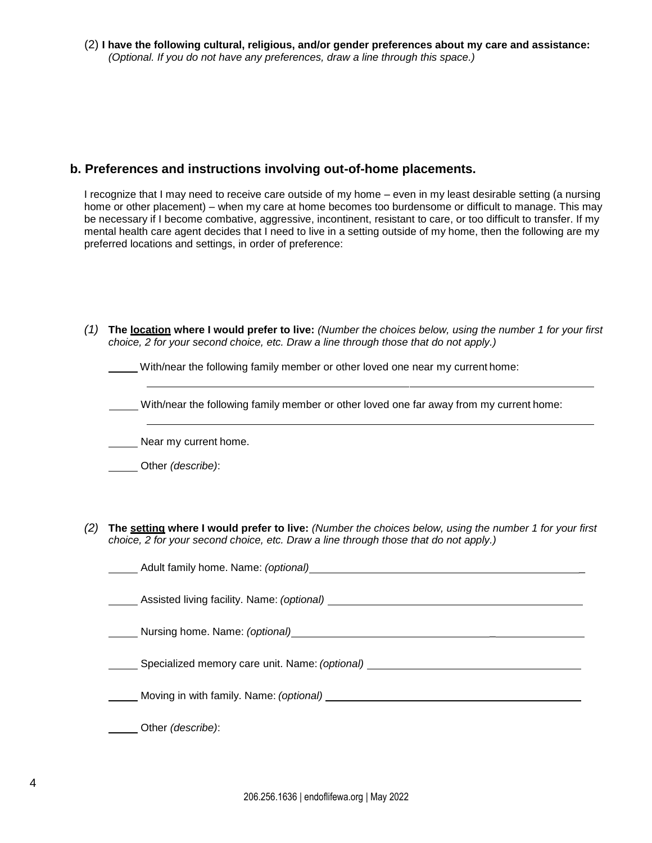(2) **I have the following cultural, religious, and/or gender preferences about my care and assistance:** *(Optional. If you do not have any preferences, draw a line through this space.)*

#### **b. Preferences and instructions involving out-of-home placements.**

I recognize that I may need to receive care outside of my home – even in my least desirable setting (a nursing home or other placement) – when my care at home becomes too burdensome or difficult to manage. This may be necessary if I become combative, aggressive, incontinent, resistant to care, or too difficult to transfer. If my mental health care agent decides that I need to live in a setting outside of my home, then the following are my preferred locations and settings, in order of preference:

*(1)* **The location where I would prefer to live:** *(Number the choices below, using the number 1 for your first choice, 2 for your second choice, etc. Draw a line through those that do not apply.)*

With/near the following family member or other loved one near my current home:

With/near the following family member or other loved one far away from my current home:

Near my current home.

Other *(describe)*:

*(2)* **The setting where I would prefer to live:** *(Number the choices below, using the number 1 for your first choice, 2 for your second choice, etc. Draw a line through those that do not apply.)*

| Assisted living facility. Name: (optional)                                                                                                                                                                                     |
|--------------------------------------------------------------------------------------------------------------------------------------------------------------------------------------------------------------------------------|
| Nursing home. Name: (optional) example and the set of the set of the set of the set of the set of the set of the set of the set of the set of the set of the set of the set of the set of the set of the set of the set of the |
| Specialized memory care unit. Name: (optional) _________________________________                                                                                                                                               |
| ___ Moving in with family. Name: <i>(optional) _________________________________</i>                                                                                                                                           |
| Other ( <i>describe</i> ):                                                                                                                                                                                                     |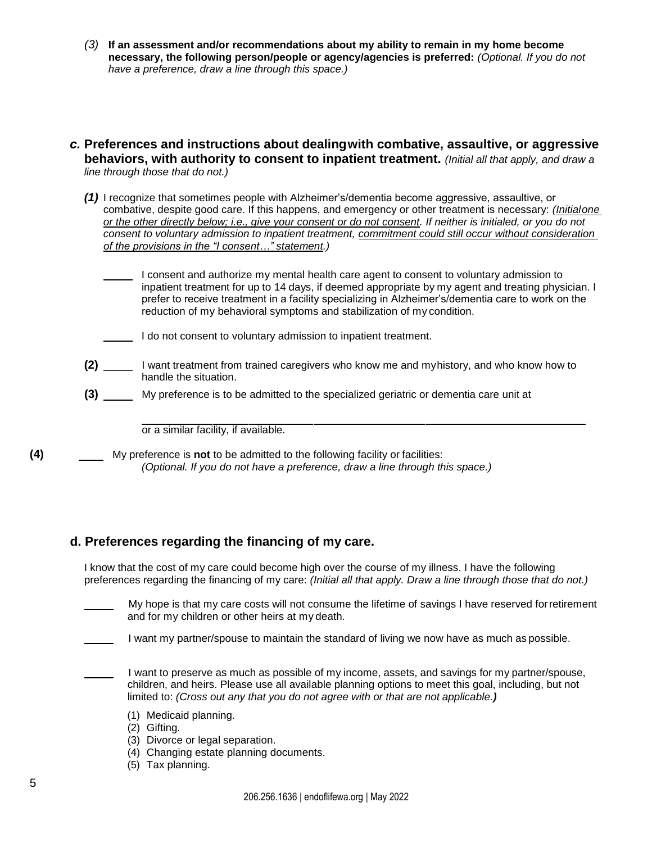- *(3)* **If an assessment and/or recommendations about my ability to remain in my home become necessary, the following person/people or agency/agencies is preferred:** *(Optional. If you do not have a preference, draw a line through this space.)*
- *c.* **Preferences and instructions about dealingwith combative, assaultive, or aggressive behaviors, with authority to consent to inpatient treatment.** *(Initial all that apply, and draw a line through those that do not.)*
	- *(1)* I recognize that sometimes people with Alzheimer's/dementia become aggressive, assaultive, or combative, despite good care. If this happens, and emergency or other treatment is necessary: *(Initialone or the other directly below; i.e., give your consent or do not consent. If neither is initialed, or you do not consent to voluntary admission to inpatient treatment, commitment could still occur without consideration of the provisions in the "I consent…" statement.)*
		- I consent and authorize my mental health care agent to consent to voluntary admission to inpatient treatment for up to 14 days, if deemed appropriate by my agent and treating physician. I prefer to receive treatment in a facility specializing in Alzheimer's/dementia care to work on the reduction of my behavioral symptoms and stabilization of my condition.
		- I do not consent to voluntary admission to inpatient treatment.
	- **(2)** I want treatment from trained caregivers who know me and myhistory, and who know how to handle the situation.
	- **(3)** My preference is to be admitted to the specialized geriatric or dementia care unit at

or a similar facility, if available.

**(4)** My preference is **not** to be admitted to the following facility or facilities: *(Optional. If you do not have a preference, draw a line through this space.)*

#### **d. Preferences regarding the financing of my care.**

I know that the cost of my care could become high over the course of my illness. I have the following preferences regarding the financing of my care: *(Initial all that apply. Draw a line through those that do not.)*

- My hope is that my care costs will not consume the lifetime of savings I have reserved forretirement and for my children or other heirs at my death.
- I want my partner/spouse to maintain the standard of living we now have as much as possible.
- I want to preserve as much as possible of my income, assets, and savings for my partner/spouse, children, and heirs. Please use all available planning options to meet this goal, including, but not limited to: *(Cross out any that you do not agree with or that are not applicable.)*
	- (1) Medicaid planning.
	- (2) Gifting.
	- (3) Divorce or legal separation.
	- (4) Changing estate planning documents.
	- (5) Tax planning.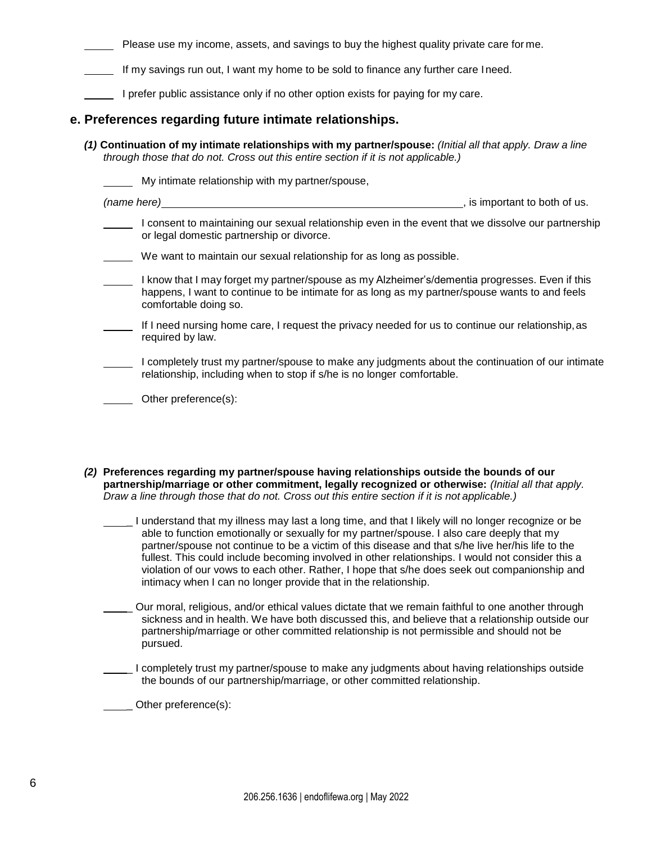Please use my income, assets, and savings to buy the highest quality private care for me.

If my savings run out, I want my home to be sold to finance any further care Ineed.

I prefer public assistance only if no other option exists for paying for my care.

#### **e. Preferences regarding future intimate relationships.**

*(1)* **Continuation of my intimate relationships with my partner/spouse:** *(Initial all that apply. Draw a line through those that do not. Cross out this entire section if it is not applicable.)*

|  | My intimate relationship with my partner/spouse,                                                                                                                                                                          |                             |  |
|--|---------------------------------------------------------------------------------------------------------------------------------------------------------------------------------------------------------------------------|-----------------------------|--|
|  | (name here)                                                                                                                                                                                                               | is important to both of us. |  |
|  | I consent to maintaining our sexual relationship even in the event that we dissolve our partnership<br>or legal domestic partnership or divorce.                                                                          |                             |  |
|  | We want to maintain our sexual relationship for as long as possible.                                                                                                                                                      |                             |  |
|  | I know that I may forget my partner/spouse as my Alzheimer's/dementia progresses. Even if this<br>happens, I want to continue to be intimate for as long as my partner/spouse wants to and feels<br>comfortable doing so. |                             |  |
|  | If I need nursing home care, I request the privacy needed for us to continue our relationship, as<br>required by law.                                                                                                     |                             |  |
|  | I completely trust my partner/spouse to make any judgments about the continuation of our intimate<br>relationship, including when to stop if s/he is no longer comfortable.                                               |                             |  |
|  | Other preference(s):                                                                                                                                                                                                      |                             |  |

*(2)* **Preferences regarding my partner/spouse having relationships outside the bounds of our partnership/marriage or other commitment, legally recognized or otherwise:** *(Initial all that apply. Draw a line through those that do not. Cross out this entire section if it is not applicable.)*

\_ I understand that my illness may last a long time, and that I likely will no longer recognize or be able to function emotionally or sexually for my partner/spouse. I also care deeply that my partner/spouse not continue to be a victim of this disease and that s/he live her/his life to the fullest. This could include becoming involved in other relationships. I would not consider this a violation of our vows to each other. Rather, I hope that s/he does seek out companionship and intimacy when I can no longer provide that in the relationship.

\_ Our moral, religious, and/or ethical values dictate that we remain faithful to one another through sickness and in health. We have both discussed this, and believe that a relationship outside our partnership/marriage or other committed relationship is not permissible and should not be pursued.

\_ I completely trust my partner/spouse to make any judgments about having relationships outside the bounds of our partnership/marriage, or other committed relationship.

Other preference(s):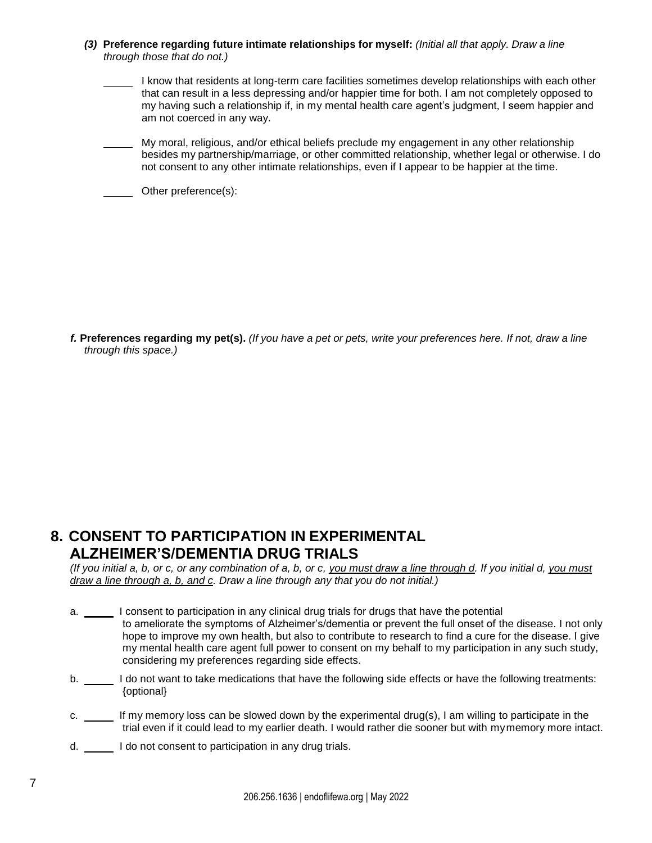- *(3)* **Preference regarding future intimate relationships for myself:** *(Initial all that apply. Draw a line through those that do not.)*
	- I know that residents at long-term care facilities sometimes develop relationships with each other that can result in a less depressing and/or happier time for both. I am not completely opposed to my having such a relationship if, in my mental health care agent's judgment, I seem happier and am not coerced in any way.
	- My moral, religious, and/or ethical beliefs preclude my engagement in any other relationship besides my partnership/marriage, or other committed relationship, whether legal or otherwise. I do not consent to any other intimate relationships, even if I appear to be happier at the time.
	- **Cther preference(s):**

f. Preferences regarding my pet(s). (If you have a pet or pets, write your preferences here. If not, draw a line *through this space.)*

#### **8. CONSENT TO PARTICIPATION IN EXPERIMENTAL ALZHEIMER'S/DEMENTIA DRUG TRIALS**

*(If you initial a, b, or c, or any combination of a, b, or c, you must draw a line through d. If you initial d, you must draw a line through a, b, and c. Draw a line through any that you do not initial.)*

- a. \_\_\_\_\_ I consent to participation in any clinical drug trials for drugs that have the potential to ameliorate the symptoms of Alzheimer's/dementia or prevent the full onset of the disease. I not only hope to improve my own health, but also to contribute to research to find a cure for the disease. I give my mental health care agent full power to consent on my behalf to my participation in any such study, considering my preferences regarding side effects.
- b. \_\_\_\_\_ I do not want to take medications that have the following side effects or have the following treatments: {optional}
- c. \_\_\_\_\_\_ If my memory loss can be slowed down by the experimental drug(s), I am willing to participate in the trial even if it could lead to my earlier death. I would rather die sooner but with mymemory more intact.
- d. I do not consent to participation in any drug trials.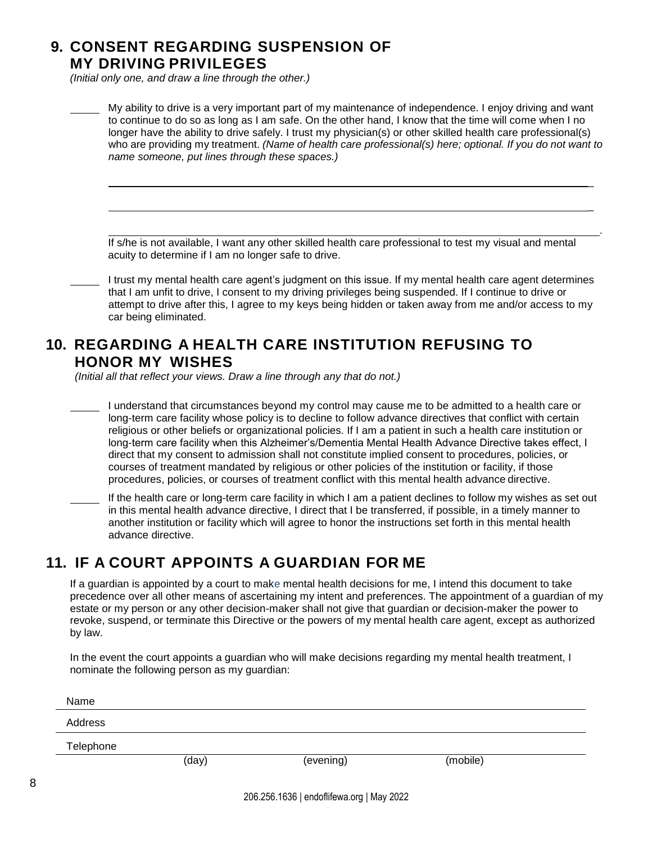## **9. CONSENT REGARDING SUSPENSION OF MY DRIVING PRIVILEGES**

*(Initial only one, and draw a line through the other.)*

| My ability to drive is a very important part of my maintenance of independence. I enjoy driving and want<br>to continue to do so as long as I am safe. On the other hand, I know that the time will come when I no<br>longer have the ability to drive safely. I trust my physician(s) or other skilled health care professional(s)<br>who are providing my treatment. (Name of health care professional(s) here; optional. If you do not want to<br>name someone, put lines through these spaces.)                                                                                                                                                                                                                                                              |
|------------------------------------------------------------------------------------------------------------------------------------------------------------------------------------------------------------------------------------------------------------------------------------------------------------------------------------------------------------------------------------------------------------------------------------------------------------------------------------------------------------------------------------------------------------------------------------------------------------------------------------------------------------------------------------------------------------------------------------------------------------------|
|                                                                                                                                                                                                                                                                                                                                                                                                                                                                                                                                                                                                                                                                                                                                                                  |
| If s/he is not available, I want any other skilled health care professional to test my visual and mental<br>acuity to determine if I am no longer safe to drive.                                                                                                                                                                                                                                                                                                                                                                                                                                                                                                                                                                                                 |
| I trust my mental health care agent's judgment on this issue. If my mental health care agent determines<br>that I am unfit to drive, I consent to my driving privileges being suspended. If I continue to drive or<br>attempt to drive after this, I agree to my keys being hidden or taken away from me and/or access to my<br>car being eliminated.                                                                                                                                                                                                                                                                                                                                                                                                            |
| <b>10. REGARDING A HEALTH CARE INSTITUTION REFUSING TO</b><br><b>HONOR MY WISHES</b><br>(Initial all that reflect your views. Draw a line through any that do not.)                                                                                                                                                                                                                                                                                                                                                                                                                                                                                                                                                                                              |
| I understand that circumstances beyond my control may cause me to be admitted to a health care or<br>long-term care facility whose policy is to decline to follow advance directives that conflict with certain<br>religious or other beliefs or organizational policies. If I am a patient in such a health care institution or<br>long-term care facility when this Alzheimer's/Dementia Mental Health Advance Directive takes effect, I<br>direct that my consent to admission shall not constitute implied consent to procedures, policies, or<br>courses of treatment mandated by religious or other policies of the institution or facility, if those<br>procedures, policies, or courses of treatment conflict with this mental health advance directive. |
| If the health care or long-term care facility in which I am a patient declines to follow my wishes as set out<br>in this mental health advance directive, I direct that I be transferred, if possible, in a timely manner to<br>another institution or facility which will agree to honor the instructions set forth in this mental health<br>advance directive.                                                                                                                                                                                                                                                                                                                                                                                                 |
| <b>11. IF A COURT APPOINTS A GUARDIAN FOR ME</b>                                                                                                                                                                                                                                                                                                                                                                                                                                                                                                                                                                                                                                                                                                                 |
| If a guardian is appointed by a court to make mental health decisions for me, I intend this document to take<br>precedence over all other means of ascertaining my intent and preferences. The appointment of a guardian of my<br>estate or my person or any other decision-maker shall not give that guardian or decision-maker the power to<br>revoke, suspend, or terminate this Directive or the powers of my mental health care agent, except as authorized                                                                                                                                                                                                                                                                                                 |

In the event the court appoints a guardian who will make decisions regarding my mental health treatment, I nominate the following person as my guardian:

| Name      |       |           |          |  |
|-----------|-------|-----------|----------|--|
| Address   |       |           |          |  |
| Telephone |       |           |          |  |
|           | (day) | (evening) | (mobile) |  |
|           |       |           |          |  |

by law.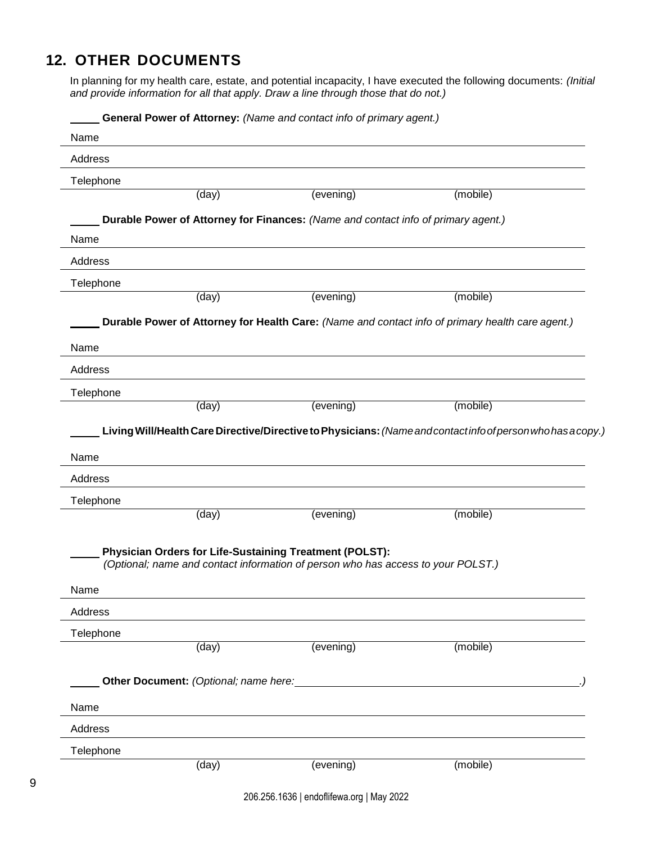# **12. OTHER DOCUMENTS**

In planning for my health care, estate, and potential incapacity, I have executed the following documents: *(Initial and provide information for all that apply. Draw a line through those that do not.)*

| Address                            |                                       |                                                                                                                                             |                                                                                                              |  |
|------------------------------------|---------------------------------------|---------------------------------------------------------------------------------------------------------------------------------------------|--------------------------------------------------------------------------------------------------------------|--|
| Telephone                          |                                       |                                                                                                                                             |                                                                                                              |  |
|                                    | $\overline{(\text{day})}$             | (evening)                                                                                                                                   | (mobile)                                                                                                     |  |
|                                    |                                       | Durable Power of Attorney for Finances: (Name and contact info of primary agent.)                                                           |                                                                                                              |  |
| Name                               |                                       |                                                                                                                                             |                                                                                                              |  |
| Address                            |                                       |                                                                                                                                             |                                                                                                              |  |
| Telephone                          |                                       |                                                                                                                                             |                                                                                                              |  |
|                                    | (day)                                 | (evening)                                                                                                                                   | (mobile)                                                                                                     |  |
|                                    |                                       |                                                                                                                                             | Durable Power of Attorney for Health Care: (Name and contact info of primary health care agent.)             |  |
| Name                               |                                       |                                                                                                                                             |                                                                                                              |  |
| Address                            |                                       |                                                                                                                                             |                                                                                                              |  |
| Telephone                          |                                       |                                                                                                                                             |                                                                                                              |  |
|                                    | (day)                                 | (evening)                                                                                                                                   | (mobile)                                                                                                     |  |
|                                    |                                       |                                                                                                                                             |                                                                                                              |  |
|                                    |                                       |                                                                                                                                             |                                                                                                              |  |
|                                    |                                       |                                                                                                                                             | Living Will/Health Care Directive/Directive to Physicians: (Name and contact info of person who has a copy.) |  |
|                                    |                                       |                                                                                                                                             |                                                                                                              |  |
|                                    |                                       |                                                                                                                                             |                                                                                                              |  |
|                                    |                                       |                                                                                                                                             |                                                                                                              |  |
|                                    | (day)                                 | (evening)                                                                                                                                   | (mobile)                                                                                                     |  |
|                                    |                                       |                                                                                                                                             |                                                                                                              |  |
|                                    |                                       | Physician Orders for Life-Sustaining Treatment (POLST):<br>(Optional; name and contact information of person who has access to your POLST.) |                                                                                                              |  |
| Telephone                          |                                       |                                                                                                                                             |                                                                                                              |  |
| Name<br>Address<br>Name<br>Address |                                       |                                                                                                                                             |                                                                                                              |  |
|                                    |                                       |                                                                                                                                             |                                                                                                              |  |
|                                    | (day)                                 | (evening)                                                                                                                                   | (mobile)                                                                                                     |  |
|                                    |                                       |                                                                                                                                             |                                                                                                              |  |
|                                    | Other Document: (Optional; name here: |                                                                                                                                             |                                                                                                              |  |
|                                    |                                       |                                                                                                                                             |                                                                                                              |  |
| Telephone<br>Name<br>Address       |                                       |                                                                                                                                             |                                                                                                              |  |
| Telephone                          |                                       |                                                                                                                                             |                                                                                                              |  |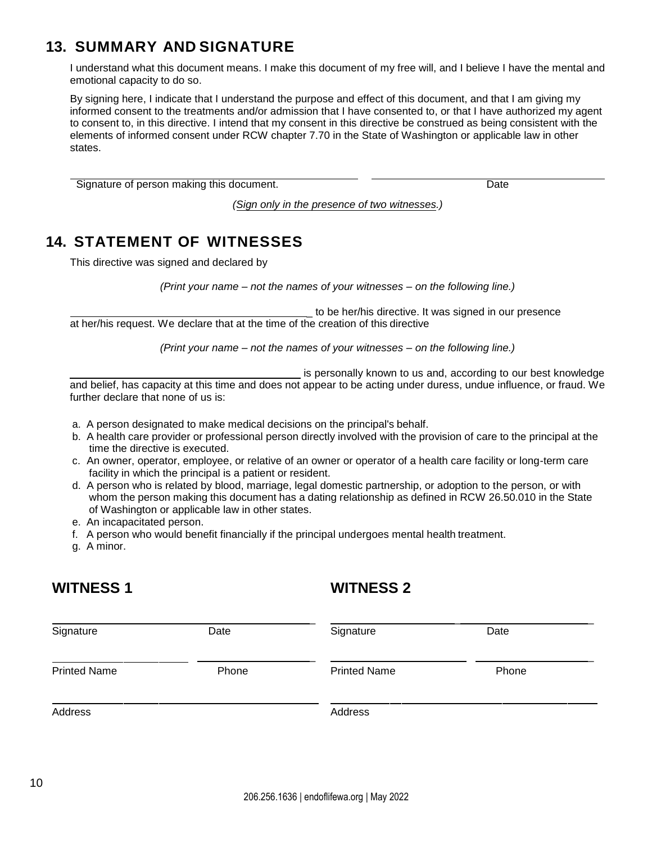## **13. SUMMARY AND SIGNATURE**

I understand what this document means. I make this document of my free will, and I believe I have the mental and emotional capacity to do so.

By signing here, I indicate that I understand the purpose and effect of this document, and that I am giving my informed consent to the treatments and/or admission that I have consented to, or that I have authorized my agent to consent to, in this directive. I intend that my consent in this directive be construed as being consistent with the elements of informed consent under RCW chapter 7.70 in the State of Washington or applicable law in other states.

Signature of person making this document.

*(Sign only in the presence of two witnesses.)* 

# **14. STATEMENT OF WITNESSES**

This directive was signed and declared by

*(Print your name – not the names of your witnesses – on the following line.)*

to be her/his directive. It was signed in our presence at her/his request. We declare that at the time of the creation of this directive

*(Print your name – not the names of your witnesses – on the following line.)*

is personally known to us and, according to our best knowledge and belief, has capacity at this time and does not appear to be acting under duress, undue influence, or fraud. We further declare that none of us is:

- a. A person designated to make medical decisions on the principal's behalf.
- b. A health care provider or professional person directly involved with the provision of care to the principal at the time the directive is executed.
- c. An owner, operator, employee, or relative of an owner or operator of a health care facility or long-term care facility in which the principal is a patient or resident.
- d. A person who is related by blood, marriage, legal domestic partnership, or adoption to the person, or with whom the person making this document has a dating relationship as defined in RCW 26.50.010 in the State of Washington or applicable law in other states.
- e. An incapacitated person.
- f. A person who would benefit financially if the principal undergoes mental health treatment.
- g. A minor.

# **WITNESS 1**

# **WITNESS 2**

| Signature           | Date  | Signature           | Date  |  |
|---------------------|-------|---------------------|-------|--|
| <b>Printed Name</b> | Phone | <b>Printed Name</b> | Phone |  |
| Address             |       | Address             |       |  |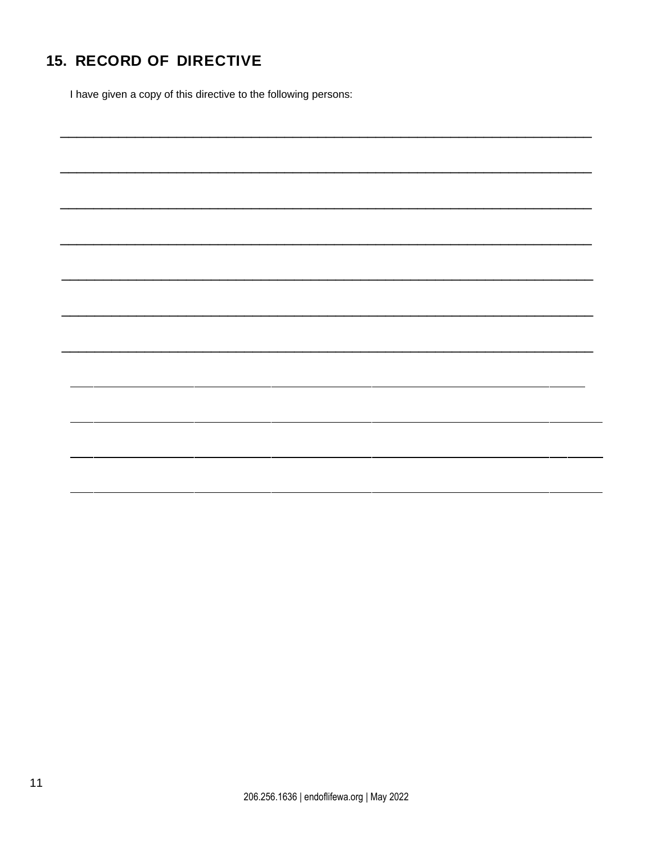# **15. RECORD OF DIRECTIVE**

I have given a copy of this directive to the following persons: